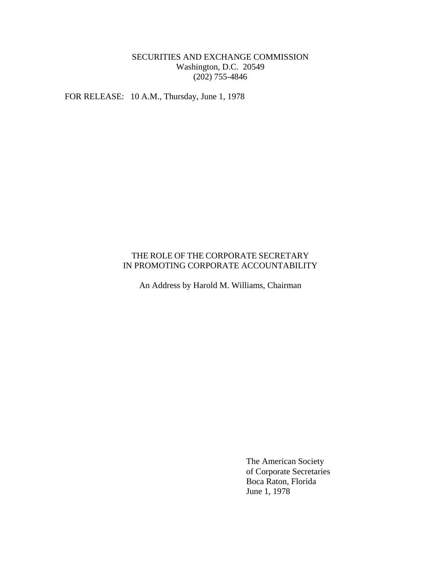## SECURITIES AND EXCHANGE COMMISSION Washington, D.C. 20549 (202) 755-4846

FOR RELEASE: 10 A.M., Thursday, June 1, 1978

# THE ROLE OF THE CORPORATE SECRETARY IN PROMOTING CORPORATE ACCOUNTABILITY

An Address by Harold M. Williams, Chairman

The American Society of Corporate Secretaries Boca Raton, Florida June 1, 1978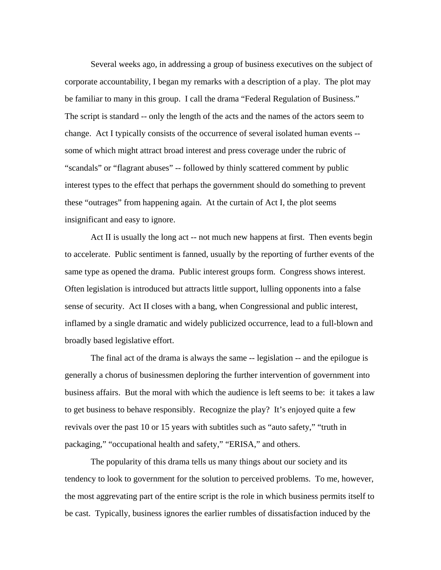Several weeks ago, in addressing a group of business executives on the subject of corporate accountability, I began my remarks with a description of a play. The plot may be familiar to many in this group. I call the drama "Federal Regulation of Business." The script is standard -- only the length of the acts and the names of the actors seem to change. Act I typically consists of the occurrence of several isolated human events - some of which might attract broad interest and press coverage under the rubric of "scandals" or "flagrant abuses" -- followed by thinly scattered comment by public interest types to the effect that perhaps the government should do something to prevent these "outrages" from happening again. At the curtain of Act I, the plot seems insignificant and easy to ignore.

Act II is usually the long act -- not much new happens at first. Then events begin to accelerate. Public sentiment is fanned, usually by the reporting of further events of the same type as opened the drama. Public interest groups form. Congress shows interest. Often legislation is introduced but attracts little support, lulling opponents into a false sense of security. Act II closes with a bang, when Congressional and public interest, inflamed by a single dramatic and widely publicized occurrence, lead to a full-blown and broadly based legislative effort.

 The final act of the drama is always the same -- legislation -- and the epilogue is generally a chorus of businessmen deploring the further intervention of government into business affairs. But the moral with which the audience is left seems to be: it takes a law to get business to behave responsibly. Recognize the play? It's enjoyed quite a few revivals over the past 10 or 15 years with subtitles such as "auto safety," "truth in packaging," "occupational health and safety," "ERISA," and others.

 The popularity of this drama tells us many things about our society and its tendency to look to government for the solution to perceived problems. To me, however, the most aggrevating part of the entire script is the role in which business permits itself to be cast. Typically, business ignores the earlier rumbles of dissatisfaction induced by the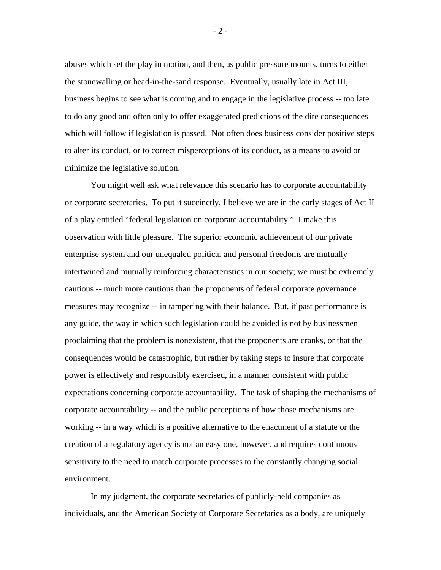abuses which set the play in motion, and then, as public pressure mounts, turns to either the stonewalling or head-in-the-sand response. Eventually, usually late in Act III, business begins to see what is coming and to engage in the legislative process -- too late to do any good and often only to offer exaggerated predictions of the dire consequences which will follow if legislation is passed. Not often does business consider positive steps to alter its conduct, or to correct misperceptions of its conduct, as a means to avoid or minimize the legislative solution.

 You might well ask what relevance this scenario has to corporate accountability or corporate secretaries. To put it succinctly, I believe we are in the early stages of Act II of a play entitled "federal legislation on corporate accountability." I make this observation with little pleasure. The superior economic achievement of our private enterprise system and our unequaled political and personal freedoms are mutually intertwined and mutually reinforcing characteristics in our society; we must be extremely cautious -- much more cautious than the proponents of federal corporate governance measures may recognize -- in tampering with their balance. But, if past performance is any guide, the way in which such legislation could be avoided is not by businessmen proclaiming that the problem is nonexistent, that the proponents are cranks, or that the consequences would be catastrophic, but rather by taking steps to insure that corporate power is effectively and responsibly exercised, in a manner consistent with public expectations concerning corporate accountability. The task of shaping the mechanisms of corporate accountability -- and the public perceptions of how those mechanisms are working -- in a way which is a positive alternative to the enactment of a statute or the creation of a regulatory agency is not an easy one, however, and requires continuous sensitivity to the need to match corporate processes to the constantly changing social environment.

 In my judgment, the corporate secretaries of publicly-held companies as individuals, and the American Society of Corporate Secretaries as a body, are uniquely

- 2 -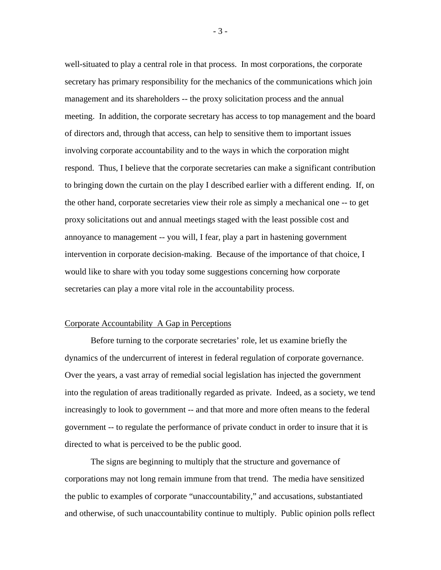well-situated to play a central role in that process. In most corporations, the corporate secretary has primary responsibility for the mechanics of the communications which join management and its shareholders -- the proxy solicitation process and the annual meeting. In addition, the corporate secretary has access to top management and the board of directors and, through that access, can help to sensitive them to important issues involving corporate accountability and to the ways in which the corporation might respond. Thus, I believe that the corporate secretaries can make a significant contribution to bringing down the curtain on the play I described earlier with a different ending. If, on the other hand, corporate secretaries view their role as simply a mechanical one -- to get proxy solicitations out and annual meetings staged with the least possible cost and annoyance to management -- you will, I fear, play a part in hastening government intervention in corporate decision-making. Because of the importance of that choice, I would like to share with you today some suggestions concerning how corporate secretaries can play a more vital role in the accountability process.

#### Corporate Accountability A Gap in Perceptions

 Before turning to the corporate secretaries' role, let us examine briefly the dynamics of the undercurrent of interest in federal regulation of corporate governance. Over the years, a vast array of remedial social legislation has injected the government into the regulation of areas traditionally regarded as private. Indeed, as a society, we tend increasingly to look to government -- and that more and more often means to the federal government -- to regulate the performance of private conduct in order to insure that it is directed to what is perceived to be the public good.

 The signs are beginning to multiply that the structure and governance of corporations may not long remain immune from that trend. The media have sensitized the public to examples of corporate "unaccountability," and accusations, substantiated and otherwise, of such unaccountability continue to multiply. Public opinion polls reflect

- 3 -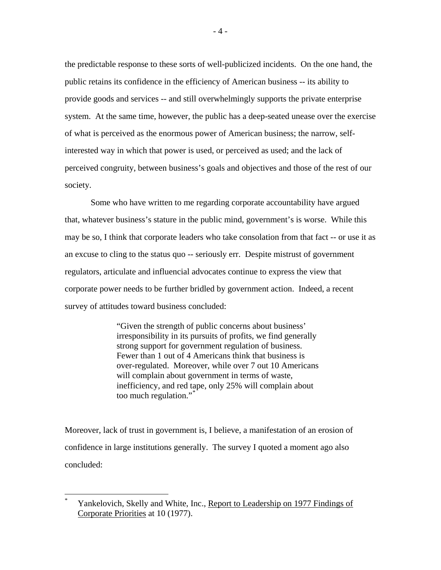the predictable response to these sorts of well-publicized incidents. On the one hand, the public retains its confidence in the efficiency of American business -- its ability to provide goods and services -- and still overwhelmingly supports the private enterprise system. At the same time, however, the public has a deep-seated unease over the exercise of what is perceived as the enormous power of American business; the narrow, selfinterested way in which that power is used, or perceived as used; and the lack of perceived congruity, between business's goals and objectives and those of the rest of our society.

 Some who have written to me regarding corporate accountability have argued that, whatever business's stature in the public mind, government's is worse. While this may be so, I think that corporate leaders who take consolation from that fact -- or use it as an excuse to cling to the status quo -- seriously err. Despite mistrust of government regulators, articulate and influencial advocates continue to express the view that corporate power needs to be further bridled by government action. Indeed, a recent survey of attitudes toward business concluded:

> "Given the strength of public concerns about business' irresponsibility in its pursuits of profits, we find generally strong support for government regulation of business. Fewer than 1 out of 4 Americans think that business is over-regulated. Moreover, while over 7 out 10 Americans will complain about government in terms of waste, inefficiency, and red tape, only 25% will complain about too much regulation."[\\*](#page-4-0)

Moreover, lack of trust in government is, I believe, a manifestation of an erosion of confidence in large institutions generally. The survey I quoted a moment ago also concluded:

<span id="page-4-0"></span><sup>\*</sup> Yankelovich, Skelly and White, Inc., Report to Leadership on 1977 Findings of Corporate Priorities at 10 (1977).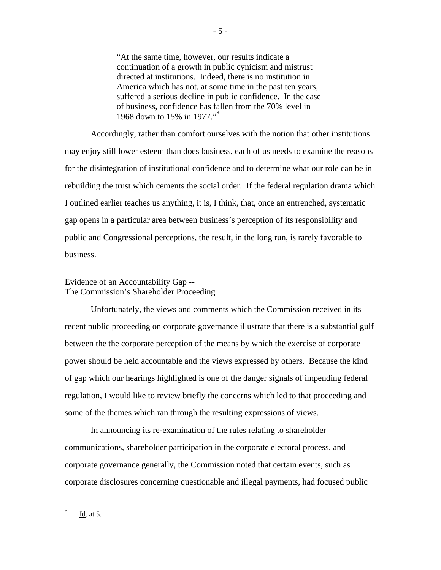"At the same time, however, our results indicate a continuation of a growth in public cynicism and mistrust directed at institutions. Indeed, there is no institution in America which has not, at some time in the past ten years, suffered a serious decline in public confidence. In the case of business, confidence has fallen from the 70% level in 1968 down to 15% in 1977."[\\*](#page-5-0)

 Accordingly, rather than comfort ourselves with the notion that other institutions may enjoy still lower esteem than does business, each of us needs to examine the reasons for the disintegration of institutional confidence and to determine what our role can be in rebuilding the trust which cements the social order. If the federal regulation drama which I outlined earlier teaches us anything, it is, I think, that, once an entrenched, systematic gap opens in a particular area between business's perception of its responsibility and public and Congressional perceptions, the result, in the long run, is rarely favorable to business.

### Evidence of an Accountability Gap -- The Commission's Shareholder Proceeding

 Unfortunately, the views and comments which the Commission received in its recent public proceeding on corporate governance illustrate that there is a substantial gulf between the the corporate perception of the means by which the exercise of corporate power should be held accountable and the views expressed by others. Because the kind of gap which our hearings highlighted is one of the danger signals of impending federal regulation, I would like to review briefly the concerns which led to that proceeding and some of the themes which ran through the resulting expressions of views.

 In announcing its re-examination of the rules relating to shareholder communications, shareholder participation in the corporate electoral process, and corporate governance generally, the Commission noted that certain events, such as corporate disclosures concerning questionable and illegal payments, had focused public

<span id="page-5-0"></span>Id. at 5.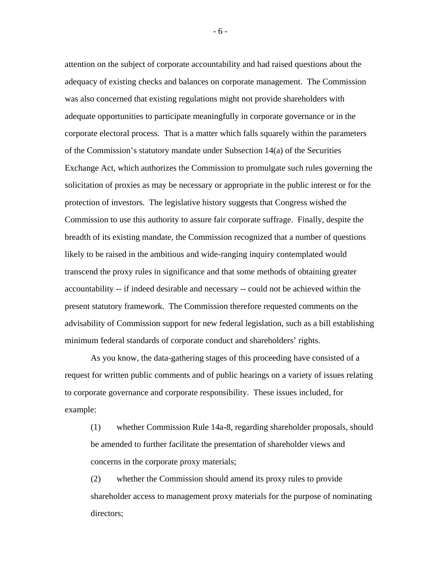attention on the subject of corporate accountability and had raised questions about the adequacy of existing checks and balances on corporate management. The Commission was also concerned that existing regulations might not provide shareholders with adequate opportunities to participate meaningfully in corporate governance or in the corporate electoral process. That is a matter which falls squarely within the parameters of the Commission's statutory mandate under Subsection 14(a) of the Securities Exchange Act, which authorizes the Commission to promulgate such rules governing the solicitation of proxies as may be necessary or appropriate in the public interest or for the protection of investors. The legislative history suggests that Congress wished the Commission to use this authority to assure fair corporate suffrage. Finally, despite the breadth of its existing mandate, the Commission recognized that a number of questions likely to be raised in the ambitious and wide-ranging inquiry contemplated would transcend the proxy rules in significance and that some methods of obtaining greater accountability -- if indeed desirable and necessary -- could not be achieved within the present statutory framework. The Commission therefore requested comments on the advisability of Commission support for new federal legislation, such as a bill establishing minimum federal standards of corporate conduct and shareholders' rights.

 As you know, the data-gathering stages of this proceeding have consisted of a request for written public comments and of public hearings on a variety of issues relating to corporate governance and corporate responsibility. These issues included, for example:

(1) whether Commission Rule 14a-8, regarding shareholder proposals, should be amended to further facilitate the presentation of shareholder views and concerns in the corporate proxy materials;

(2) whether the Commission should amend its proxy rules to provide shareholder access to management proxy materials for the purpose of nominating directors;

- 6 -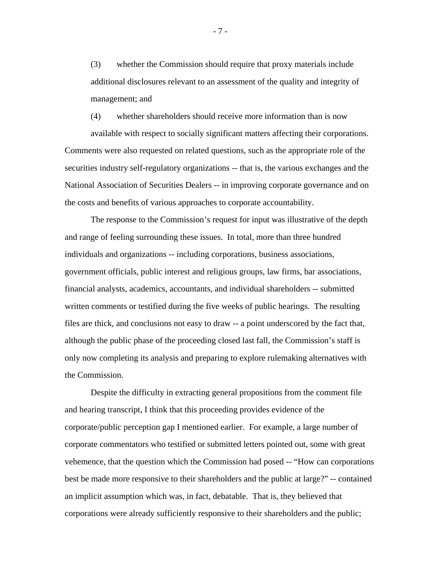(3) whether the Commission should require that proxy materials include additional disclosures relevant to an assessment of the quality and integrity of management; and

(4) whether shareholders should receive more information than is now available with respect to socially significant matters affecting their corporations. Comments were also requested on related questions, such as the appropriate role of the securities industry self-regulatory organizations -- that is, the various exchanges and the National Association of Securities Dealers -- in improving corporate governance and on the costs and benefits of various approaches to corporate accountability.

 The response to the Commission's request for input was illustrative of the depth and range of feeling surrounding these issues. In total, more than three hundred individuals and organizations -- including corporations, business associations, government officials, public interest and religious groups, law firms, bar associations, financial analysts, academics, accountants, and individual shareholders -- submitted written comments or testified during the five weeks of public hearings. The resulting files are thick, and conclusions not easy to draw -- a point underscored by the fact that, although the public phase of the proceeding closed last fall, the Commission's staff is only now completing its analysis and preparing to explore rulemaking alternatives with the Commission.

 Despite the difficulty in extracting general propositions from the comment file and hearing transcript, I think that this proceeding provides evidence of the corporate/public perception gap I mentioned earlier. For example, a large number of corporate commentators who testified or submitted letters pointed out, some with great vehemence, that the question which the Commission had posed -- "How can corporations best be made more responsive to their shareholders and the public at large?" -- contained an implicit assumption which was, in fact, debatable. That is, they believed that corporations were already sufficiently responsive to their shareholders and the public;

- 7 -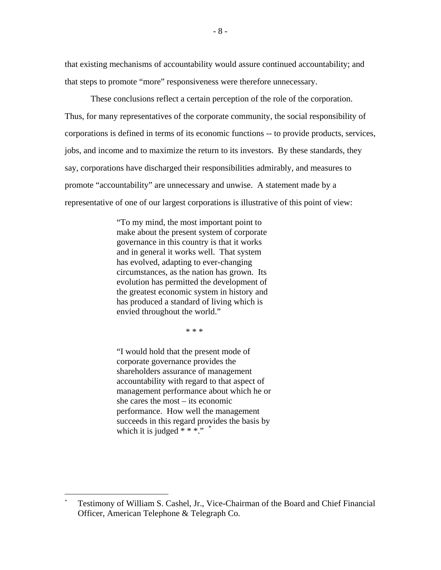that existing mechanisms of accountability would assure continued accountability; and that steps to promote "more" responsiveness were therefore unnecessary.

 These conclusions reflect a certain perception of the role of the corporation. Thus, for many representatives of the corporate community, the social responsibility of corporations is defined in terms of its economic functions -- to provide products, services, jobs, and income and to maximize the return to its investors. By these standards, they say, corporations have discharged their responsibilities admirably, and measures to promote "accountability" are unnecessary and unwise. A statement made by a representative of one of our largest corporations is illustrative of this point of view:

> "To my mind, the most important point to make about the present system of corporate governance in this country is that it works and in general it works well. That system has evolved, adapting to ever-changing circumstances, as the nation has grown. Its evolution has permitted the development of the greatest economic system in history and has produced a standard of living which is envied throughout the world."

> > \* \* \*

"I would hold that the present mode of corporate governance provides the shareholders assurance of management accountability with regard to that aspect of management performance about which he or she cares the most – its economic performance. How well the management succeeds in this regard provides the basis by which it is judged  $* * *$  $* * *$ ."

<span id="page-8-0"></span><sup>\*</sup> Testimony of William S. Cashel, Jr., Vice-Chairman of the Board and Chief Financial Officer, American Telephone & Telegraph Co.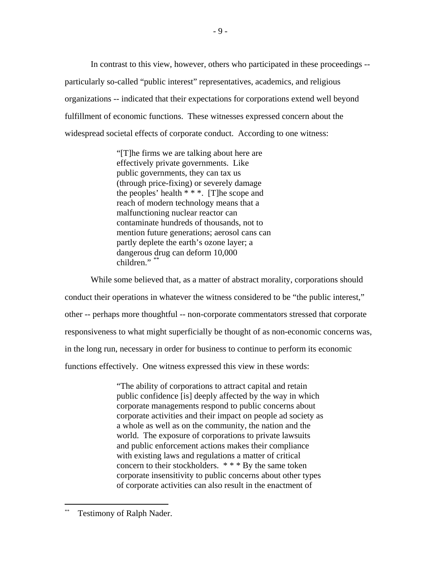In contrast to this view, however, others who participated in these proceedings - particularly so-called "public interest" representatives, academics, and religious organizations -- indicated that their expectations for corporations extend well beyond fulfillment of economic functions. These witnesses expressed concern about the widespread societal effects of corporate conduct. According to one witness:

> "[T]he firms we are talking about here are effectively private governments. Like public governments, they can tax us (through price-fixing) or severely damage the peoples' health \* \* \*. [T]he scope and reach of modern technology means that a malfunctioning nuclear reactor can contaminate hundreds of thousands, not to mention future generations; aerosol cans can partly deplete the earth's ozone layer; a dangerous drug can deform 10,000 children."[\\*\\*](#page-9-0)

 While some believed that, as a matter of abstract morality, corporations should conduct their operations in whatever the witness considered to be "the public interest," other -- perhaps more thoughtful -- non-corporate commentators stressed that corporate responsiveness to what might superficially be thought of as non-economic concerns was, in the long run, necessary in order for business to continue to perform its economic functions effectively. One witness expressed this view in these words:

> "The ability of corporations to attract capital and retain public confidence [is] deeply affected by the way in which corporate managements respond to public concerns about corporate activities and their impact on people ad society as a whole as well as on the community, the nation and the world. The exposure of corporations to private lawsuits and public enforcement actions makes their compliance with existing laws and regulations a matter of critical concern to their stockholders. \* \* \* By the same token corporate insensitivity to public concerns about other types of corporate activities can also result in the enactment of

<span id="page-9-0"></span>Testimony of Ralph Nader.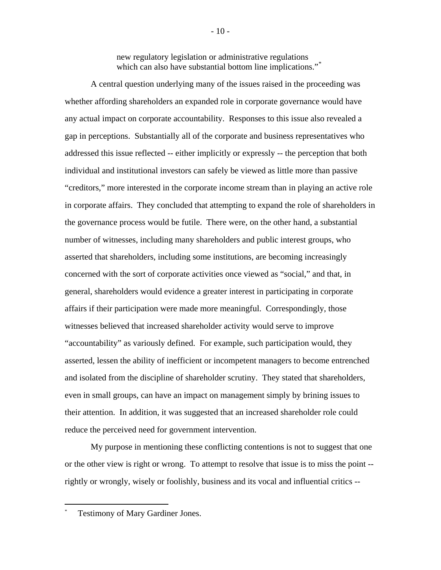new regulatory legislation or administrative regulations which can also have substantial bottom line implications."<sup>[\\*](#page-10-0)</sup>

 A central question underlying many of the issues raised in the proceeding was whether affording shareholders an expanded role in corporate governance would have any actual impact on corporate accountability. Responses to this issue also revealed a gap in perceptions. Substantially all of the corporate and business representatives who addressed this issue reflected -- either implicitly or expressly -- the perception that both individual and institutional investors can safely be viewed as little more than passive "creditors," more interested in the corporate income stream than in playing an active role in corporate affairs. They concluded that attempting to expand the role of shareholders in the governance process would be futile. There were, on the other hand, a substantial number of witnesses, including many shareholders and public interest groups, who asserted that shareholders, including some institutions, are becoming increasingly concerned with the sort of corporate activities once viewed as "social," and that, in general, shareholders would evidence a greater interest in participating in corporate affairs if their participation were made more meaningful. Correspondingly, those witnesses believed that increased shareholder activity would serve to improve "accountability" as variously defined. For example, such participation would, they asserted, lessen the ability of inefficient or incompetent managers to become entrenched and isolated from the discipline of shareholder scrutiny. They stated that shareholders, even in small groups, can have an impact on management simply by brining issues to their attention. In addition, it was suggested that an increased shareholder role could reduce the perceived need for government intervention.

 My purpose in mentioning these conflicting contentions is not to suggest that one or the other view is right or wrong. To attempt to resolve that issue is to miss the point - rightly or wrongly, wisely or foolishly, business and its vocal and influential critics --

<span id="page-10-0"></span>Testimony of Mary Gardiner Jones.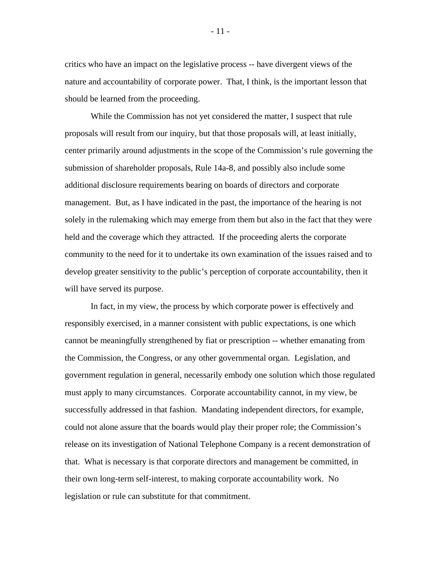critics who have an impact on the legislative process -- have divergent views of the nature and accountability of corporate power. That, I think, is the important lesson that should be learned from the proceeding.

 While the Commission has not yet considered the matter, I suspect that rule proposals will result from our inquiry, but that those proposals will, at least initially, center primarily around adjustments in the scope of the Commission's rule governing the submission of shareholder proposals, Rule 14a-8, and possibly also include some additional disclosure requirements bearing on boards of directors and corporate management. But, as I have indicated in the past, the importance of the hearing is not solely in the rulemaking which may emerge from them but also in the fact that they were held and the coverage which they attracted. If the proceeding alerts the corporate community to the need for it to undertake its own examination of the issues raised and to develop greater sensitivity to the public's perception of corporate accountability, then it will have served its purpose.

 In fact, in my view, the process by which corporate power is effectively and responsibly exercised, in a manner consistent with public expectations, is one which cannot be meaningfully strengthened by fiat or prescription -- whether emanating from the Commission, the Congress, or any other governmental organ. Legislation, and government regulation in general, necessarily embody one solution which those regulated must apply to many circumstances. Corporate accountability cannot, in my view, be successfully addressed in that fashion. Mandating independent directors, for example, could not alone assure that the boards would play their proper role; the Commission's release on its investigation of National Telephone Company is a recent demonstration of that. What is necessary is that corporate directors and management be committed, in their own long-term self-interest, to making corporate accountability work. No legislation or rule can substitute for that commitment.

- 11 -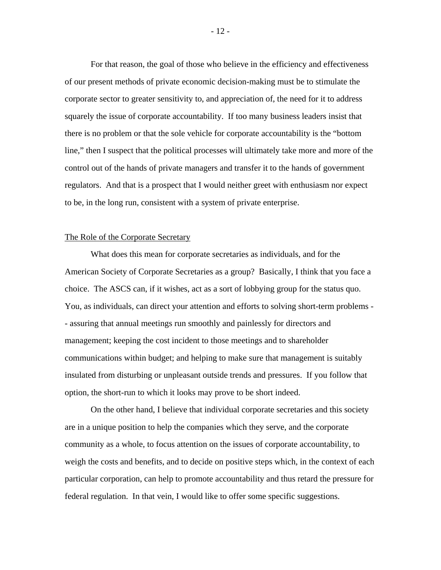For that reason, the goal of those who believe in the efficiency and effectiveness of our present methods of private economic decision-making must be to stimulate the corporate sector to greater sensitivity to, and appreciation of, the need for it to address squarely the issue of corporate accountability. If too many business leaders insist that there is no problem or that the sole vehicle for corporate accountability is the "bottom line," then I suspect that the political processes will ultimately take more and more of the control out of the hands of private managers and transfer it to the hands of government regulators. And that is a prospect that I would neither greet with enthusiasm nor expect to be, in the long run, consistent with a system of private enterprise.

### The Role of the Corporate Secretary

 What does this mean for corporate secretaries as individuals, and for the American Society of Corporate Secretaries as a group? Basically, I think that you face a choice. The ASCS can, if it wishes, act as a sort of lobbying group for the status quo. You, as individuals, can direct your attention and efforts to solving short-term problems - - assuring that annual meetings run smoothly and painlessly for directors and management; keeping the cost incident to those meetings and to shareholder communications within budget; and helping to make sure that management is suitably insulated from disturbing or unpleasant outside trends and pressures. If you follow that option, the short-run to which it looks may prove to be short indeed.

 On the other hand, I believe that individual corporate secretaries and this society are in a unique position to help the companies which they serve, and the corporate community as a whole, to focus attention on the issues of corporate accountability, to weigh the costs and benefits, and to decide on positive steps which, in the context of each particular corporation, can help to promote accountability and thus retard the pressure for federal regulation. In that vein, I would like to offer some specific suggestions.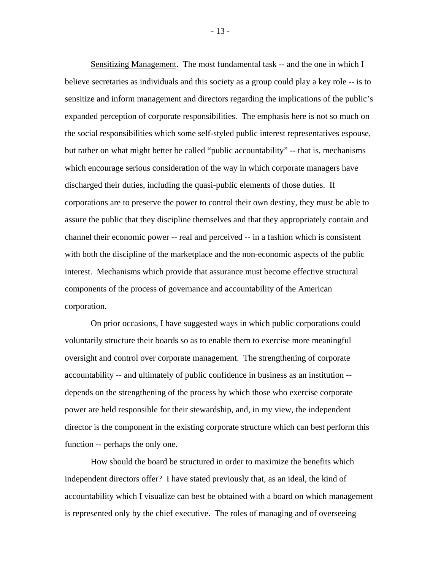Sensitizing Management. The most fundamental task -- and the one in which I believe secretaries as individuals and this society as a group could play a key role -- is to sensitize and inform management and directors regarding the implications of the public's expanded perception of corporate responsibilities. The emphasis here is not so much on the social responsibilities which some self-styled public interest representatives espouse, but rather on what might better be called "public accountability" -- that is, mechanisms which encourage serious consideration of the way in which corporate managers have discharged their duties, including the quasi-public elements of those duties. If corporations are to preserve the power to control their own destiny, they must be able to assure the public that they discipline themselves and that they appropriately contain and channel their economic power -- real and perceived -- in a fashion which is consistent with both the discipline of the marketplace and the non-economic aspects of the public interest. Mechanisms which provide that assurance must become effective structural components of the process of governance and accountability of the American corporation.

 On prior occasions, I have suggested ways in which public corporations could voluntarily structure their boards so as to enable them to exercise more meaningful oversight and control over corporate management. The strengthening of corporate accountability -- and ultimately of public confidence in business as an institution - depends on the strengthening of the process by which those who exercise corporate power are held responsible for their stewardship, and, in my view, the independent director is the component in the existing corporate structure which can best perform this function -- perhaps the only one.

 How should the board be structured in order to maximize the benefits which independent directors offer? I have stated previously that, as an ideal, the kind of accountability which I visualize can best be obtained with a board on which management is represented only by the chief executive. The roles of managing and of overseeing

- 13 -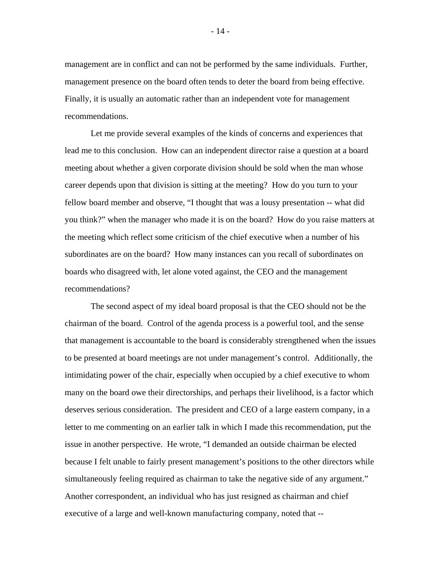management are in conflict and can not be performed by the same individuals. Further, management presence on the board often tends to deter the board from being effective. Finally, it is usually an automatic rather than an independent vote for management recommendations.

 Let me provide several examples of the kinds of concerns and experiences that lead me to this conclusion. How can an independent director raise a question at a board meeting about whether a given corporate division should be sold when the man whose career depends upon that division is sitting at the meeting? How do you turn to your fellow board member and observe, "I thought that was a lousy presentation -- what did you think?" when the manager who made it is on the board? How do you raise matters at the meeting which reflect some criticism of the chief executive when a number of his subordinates are on the board? How many instances can you recall of subordinates on boards who disagreed with, let alone voted against, the CEO and the management recommendations?

 The second aspect of my ideal board proposal is that the CEO should not be the chairman of the board. Control of the agenda process is a powerful tool, and the sense that management is accountable to the board is considerably strengthened when the issues to be presented at board meetings are not under management's control. Additionally, the intimidating power of the chair, especially when occupied by a chief executive to whom many on the board owe their directorships, and perhaps their livelihood, is a factor which deserves serious consideration. The president and CEO of a large eastern company, in a letter to me commenting on an earlier talk in which I made this recommendation, put the issue in another perspective. He wrote, "I demanded an outside chairman be elected because I felt unable to fairly present management's positions to the other directors while simultaneously feeling required as chairman to take the negative side of any argument." Another correspondent, an individual who has just resigned as chairman and chief executive of a large and well-known manufacturing company, noted that --

- 14 -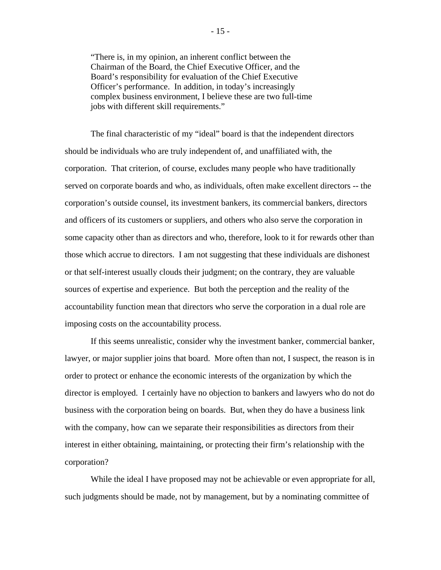"There is, in my opinion, an inherent conflict between the Chairman of the Board, the Chief Executive Officer, and the Board's responsibility for evaluation of the Chief Executive Officer's performance. In addition, in today's increasingly complex business environment, I believe these are two full-time jobs with different skill requirements."

 The final characteristic of my "ideal" board is that the independent directors should be individuals who are truly independent of, and unaffiliated with, the corporation. That criterion, of course, excludes many people who have traditionally served on corporate boards and who, as individuals, often make excellent directors -- the corporation's outside counsel, its investment bankers, its commercial bankers, directors and officers of its customers or suppliers, and others who also serve the corporation in some capacity other than as directors and who, therefore, look to it for rewards other than those which accrue to directors. I am not suggesting that these individuals are dishonest or that self-interest usually clouds their judgment; on the contrary, they are valuable sources of expertise and experience. But both the perception and the reality of the accountability function mean that directors who serve the corporation in a dual role are imposing costs on the accountability process.

 If this seems unrealistic, consider why the investment banker, commercial banker, lawyer, or major supplier joins that board. More often than not, I suspect, the reason is in order to protect or enhance the economic interests of the organization by which the director is employed. I certainly have no objection to bankers and lawyers who do not do business with the corporation being on boards. But, when they do have a business link with the company, how can we separate their responsibilities as directors from their interest in either obtaining, maintaining, or protecting their firm's relationship with the corporation?

 While the ideal I have proposed may not be achievable or even appropriate for all, such judgments should be made, not by management, but by a nominating committee of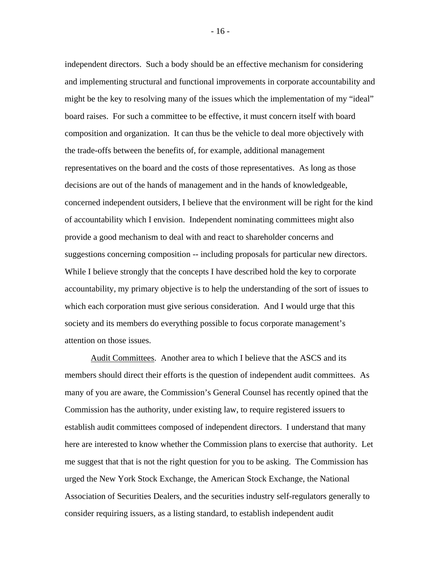independent directors. Such a body should be an effective mechanism for considering and implementing structural and functional improvements in corporate accountability and might be the key to resolving many of the issues which the implementation of my "ideal" board raises. For such a committee to be effective, it must concern itself with board composition and organization. It can thus be the vehicle to deal more objectively with the trade-offs between the benefits of, for example, additional management representatives on the board and the costs of those representatives. As long as those decisions are out of the hands of management and in the hands of knowledgeable, concerned independent outsiders, I believe that the environment will be right for the kind of accountability which I envision. Independent nominating committees might also provide a good mechanism to deal with and react to shareholder concerns and suggestions concerning composition -- including proposals for particular new directors. While I believe strongly that the concepts I have described hold the key to corporate accountability, my primary objective is to help the understanding of the sort of issues to which each corporation must give serious consideration. And I would urge that this society and its members do everything possible to focus corporate management's attention on those issues.

Audit Committees. Another area to which I believe that the ASCS and its members should direct their efforts is the question of independent audit committees. As many of you are aware, the Commission's General Counsel has recently opined that the Commission has the authority, under existing law, to require registered issuers to establish audit committees composed of independent directors. I understand that many here are interested to know whether the Commission plans to exercise that authority. Let me suggest that that is not the right question for you to be asking. The Commission has urged the New York Stock Exchange, the American Stock Exchange, the National Association of Securities Dealers, and the securities industry self-regulators generally to consider requiring issuers, as a listing standard, to establish independent audit

- 16 -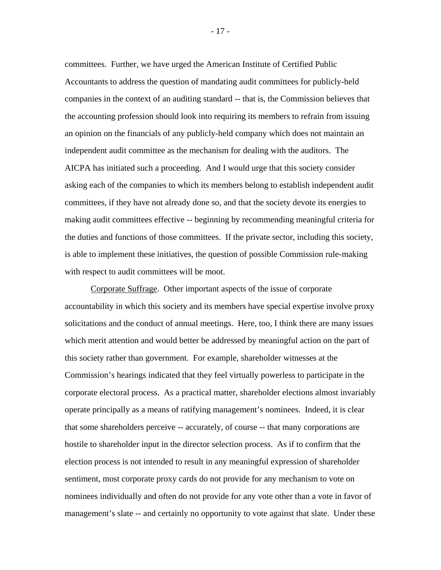committees. Further, we have urged the American Institute of Certified Public Accountants to address the question of mandating audit committees for publicly-held companies in the context of an auditing standard -- that is, the Commission believes that the accounting profession should look into requiring its members to refrain from issuing an opinion on the financials of any publicly-held company which does not maintain an independent audit committee as the mechanism for dealing with the auditors. The AICPA has initiated such a proceeding. And I would urge that this society consider asking each of the companies to which its members belong to establish independent audit committees, if they have not already done so, and that the society devote its energies to making audit committees effective -- beginning by recommending meaningful criteria for the duties and functions of those committees. If the private sector, including this society, is able to implement these initiatives, the question of possible Commission rule-making with respect to audit committees will be moot.

Corporate Suffrage. Other important aspects of the issue of corporate accountability in which this society and its members have special expertise involve proxy solicitations and the conduct of annual meetings. Here, too, I think there are many issues which merit attention and would better be addressed by meaningful action on the part of this society rather than government. For example, shareholder witnesses at the Commission's hearings indicated that they feel virtually powerless to participate in the corporate electoral process. As a practical matter, shareholder elections almost invariably operate principally as a means of ratifying management's nominees. Indeed, it is clear that some shareholders perceive -- accurately, of course -- that many corporations are hostile to shareholder input in the director selection process. As if to confirm that the election process is not intended to result in any meaningful expression of shareholder sentiment, most corporate proxy cards do not provide for any mechanism to vote on nominees individually and often do not provide for any vote other than a vote in favor of management's slate -- and certainly no opportunity to vote against that slate. Under these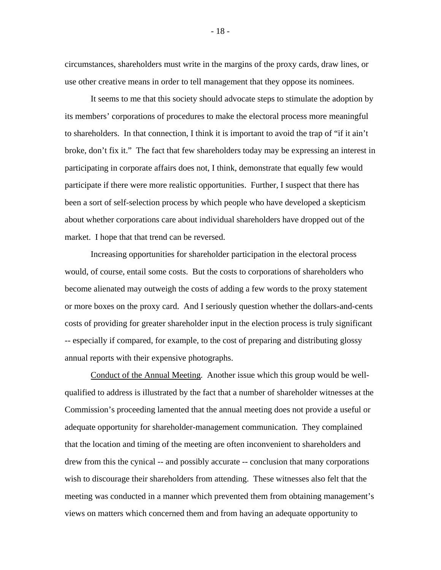circumstances, shareholders must write in the margins of the proxy cards, draw lines, or use other creative means in order to tell management that they oppose its nominees.

 It seems to me that this society should advocate steps to stimulate the adoption by its members' corporations of procedures to make the electoral process more meaningful to shareholders. In that connection, I think it is important to avoid the trap of "if it ain't broke, don't fix it." The fact that few shareholders today may be expressing an interest in participating in corporate affairs does not, I think, demonstrate that equally few would participate if there were more realistic opportunities. Further, I suspect that there has been a sort of self-selection process by which people who have developed a skepticism about whether corporations care about individual shareholders have dropped out of the market. I hope that that trend can be reversed.

 Increasing opportunities for shareholder participation in the electoral process would, of course, entail some costs. But the costs to corporations of shareholders who become alienated may outweigh the costs of adding a few words to the proxy statement or more boxes on the proxy card. And I seriously question whether the dollars-and-cents costs of providing for greater shareholder input in the election process is truly significant -- especially if compared, for example, to the cost of preparing and distributing glossy annual reports with their expensive photographs.

Conduct of the Annual Meeting. Another issue which this group would be wellqualified to address is illustrated by the fact that a number of shareholder witnesses at the Commission's proceeding lamented that the annual meeting does not provide a useful or adequate opportunity for shareholder-management communication. They complained that the location and timing of the meeting are often inconvenient to shareholders and drew from this the cynical -- and possibly accurate -- conclusion that many corporations wish to discourage their shareholders from attending. These witnesses also felt that the meeting was conducted in a manner which prevented them from obtaining management's views on matters which concerned them and from having an adequate opportunity to

- 18 -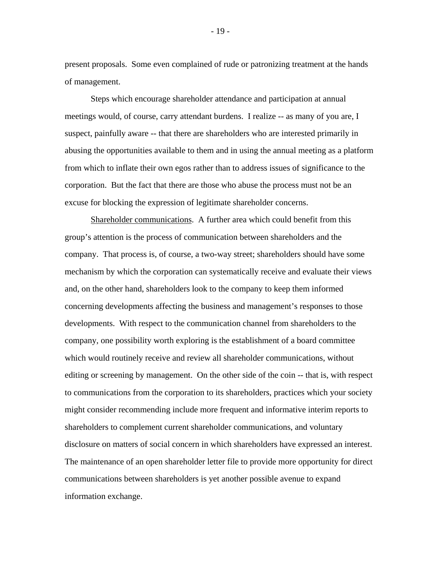present proposals. Some even complained of rude or patronizing treatment at the hands of management.

 Steps which encourage shareholder attendance and participation at annual meetings would, of course, carry attendant burdens. I realize -- as many of you are, I suspect, painfully aware -- that there are shareholders who are interested primarily in abusing the opportunities available to them and in using the annual meeting as a platform from which to inflate their own egos rather than to address issues of significance to the corporation. But the fact that there are those who abuse the process must not be an excuse for blocking the expression of legitimate shareholder concerns.

Shareholder communications. A further area which could benefit from this group's attention is the process of communication between shareholders and the company. That process is, of course, a two-way street; shareholders should have some mechanism by which the corporation can systematically receive and evaluate their views and, on the other hand, shareholders look to the company to keep them informed concerning developments affecting the business and management's responses to those developments. With respect to the communication channel from shareholders to the company, one possibility worth exploring is the establishment of a board committee which would routinely receive and review all shareholder communications, without editing or screening by management. On the other side of the coin -- that is, with respect to communications from the corporation to its shareholders, practices which your society might consider recommending include more frequent and informative interim reports to shareholders to complement current shareholder communications, and voluntary disclosure on matters of social concern in which shareholders have expressed an interest. The maintenance of an open shareholder letter file to provide more opportunity for direct communications between shareholders is yet another possible avenue to expand information exchange.

- 19 -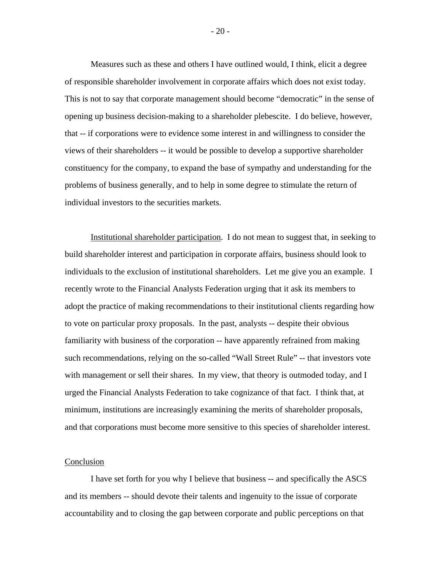Measures such as these and others I have outlined would, I think, elicit a degree of responsible shareholder involvement in corporate affairs which does not exist today. This is not to say that corporate management should become "democratic" in the sense of opening up business decision-making to a shareholder plebescite. I do believe, however, that -- if corporations were to evidence some interest in and willingness to consider the views of their shareholders -- it would be possible to develop a supportive shareholder constituency for the company, to expand the base of sympathy and understanding for the problems of business generally, and to help in some degree to stimulate the return of individual investors to the securities markets.

Institutional shareholder participation. I do not mean to suggest that, in seeking to build shareholder interest and participation in corporate affairs, business should look to individuals to the exclusion of institutional shareholders. Let me give you an example. I recently wrote to the Financial Analysts Federation urging that it ask its members to adopt the practice of making recommendations to their institutional clients regarding how to vote on particular proxy proposals. In the past, analysts -- despite their obvious familiarity with business of the corporation -- have apparently refrained from making such recommendations, relying on the so-called "Wall Street Rule" -- that investors vote with management or sell their shares. In my view, that theory is outmoded today, and I urged the Financial Analysts Federation to take cognizance of that fact. I think that, at minimum, institutions are increasingly examining the merits of shareholder proposals, and that corporations must become more sensitive to this species of shareholder interest.

#### Conclusion

 I have set forth for you why I believe that business -- and specifically the ASCS and its members -- should devote their talents and ingenuity to the issue of corporate accountability and to closing the gap between corporate and public perceptions on that

- 20 -